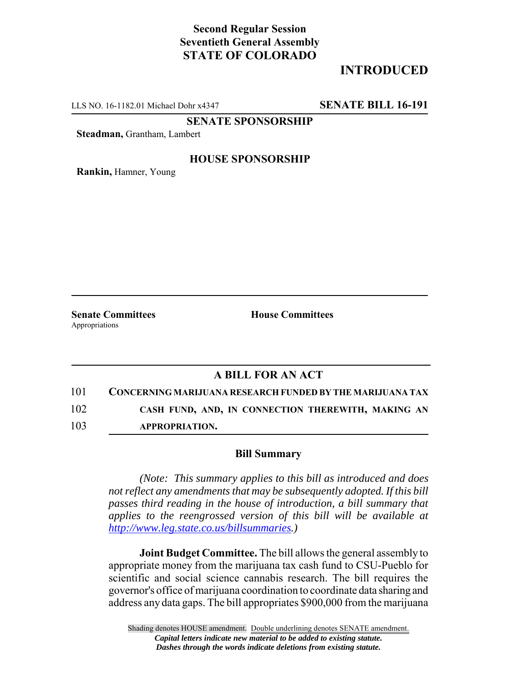## **Second Regular Session Seventieth General Assembly STATE OF COLORADO**

# **INTRODUCED**

LLS NO. 16-1182.01 Michael Dohr x4347 **SENATE BILL 16-191**

**SENATE SPONSORSHIP**

**Steadman,** Grantham, Lambert

#### **HOUSE SPONSORSHIP**

**Rankin,** Hamner, Young

Appropriations

**Senate Committees House Committees** 

### **A BILL FOR AN ACT**

101 **CONCERNING MARIJUANA RESEARCH FUNDED BY THE MARIJUANA TAX** 102 **CASH FUND, AND, IN CONNECTION THEREWITH, MAKING AN**

103 **APPROPRIATION.**

#### **Bill Summary**

*(Note: This summary applies to this bill as introduced and does not reflect any amendments that may be subsequently adopted. If this bill passes third reading in the house of introduction, a bill summary that applies to the reengrossed version of this bill will be available at http://www.leg.state.co.us/billsummaries.)*

**Joint Budget Committee.** The bill allows the general assembly to appropriate money from the marijuana tax cash fund to CSU-Pueblo for scientific and social science cannabis research. The bill requires the governor's office of marijuana coordination to coordinate data sharing and address any data gaps. The bill appropriates \$900,000 from the marijuana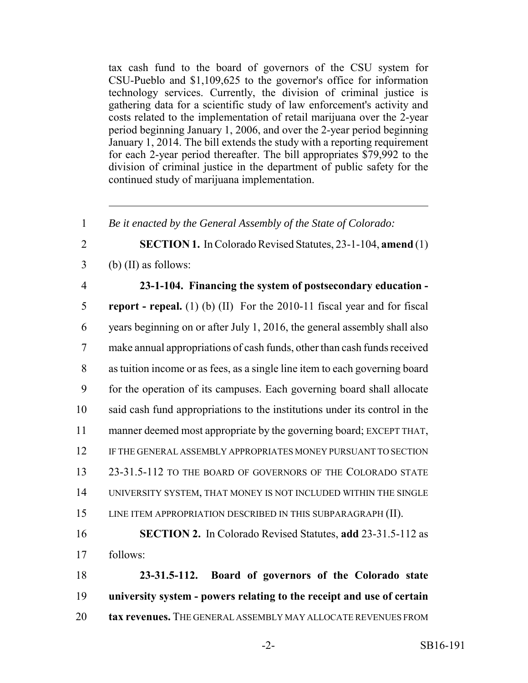tax cash fund to the board of governors of the CSU system for CSU-Pueblo and \$1,109,625 to the governor's office for information technology services. Currently, the division of criminal justice is gathering data for a scientific study of law enforcement's activity and costs related to the implementation of retail marijuana over the 2-year period beginning January 1, 2006, and over the 2-year period beginning January 1, 2014. The bill extends the study with a reporting requirement for each 2-year period thereafter. The bill appropriates \$79,992 to the division of criminal justice in the department of public safety for the continued study of marijuana implementation.

*Be it enacted by the General Assembly of the State of Colorado:*

 **SECTION 1.** In Colorado Revised Statutes, 23-1-104, **amend** (1) (b) (II) as follows:

#### **23-1-104. Financing the system of postsecondary education -**

 **report - repeal.** (1) (b) (II) For the 2010-11 fiscal year and for fiscal years beginning on or after July 1, 2016, the general assembly shall also make annual appropriations of cash funds, other than cash funds received as tuition income or as fees, as a single line item to each governing board for the operation of its campuses. Each governing board shall allocate said cash fund appropriations to the institutions under its control in the manner deemed most appropriate by the governing board; EXCEPT THAT, 12 IF THE GENERAL ASSEMBLY APPROPRIATES MONEY PURSUANT TO SECTION 23-31.5-112 TO THE BOARD OF GOVERNORS OF THE COLORADO STATE UNIVERSITY SYSTEM, THAT MONEY IS NOT INCLUDED WITHIN THE SINGLE LINE ITEM APPROPRIATION DESCRIBED IN THIS SUBPARAGRAPH (II). **SECTION 2.** In Colorado Revised Statutes, **add** 23-31.5-112 as follows:

 **23-31.5-112. Board of governors of the Colorado state university system - powers relating to the receipt and use of certain tax revenues.** THE GENERAL ASSEMBLY MAY ALLOCATE REVENUES FROM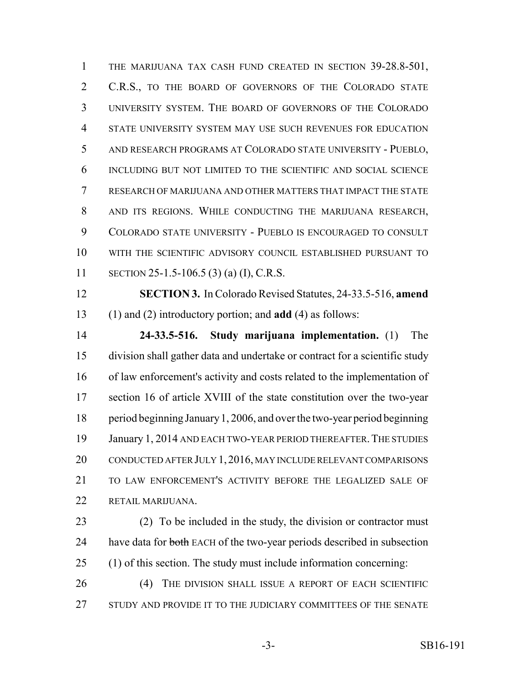1 THE MARIJUANA TAX CASH FUND CREATED IN SECTION 39-28.8-501, C.R.S., TO THE BOARD OF GOVERNORS OF THE COLORADO STATE UNIVERSITY SYSTEM. THE BOARD OF GOVERNORS OF THE COLORADO STATE UNIVERSITY SYSTEM MAY USE SUCH REVENUES FOR EDUCATION AND RESEARCH PROGRAMS AT COLORADO STATE UNIVERSITY - PUEBLO, INCLUDING BUT NOT LIMITED TO THE SCIENTIFIC AND SOCIAL SCIENCE RESEARCH OF MARIJUANA AND OTHER MATTERS THAT IMPACT THE STATE AND ITS REGIONS. WHILE CONDUCTING THE MARIJUANA RESEARCH, COLORADO STATE UNIVERSITY - PUEBLO IS ENCOURAGED TO CONSULT WITH THE SCIENTIFIC ADVISORY COUNCIL ESTABLISHED PURSUANT TO SECTION 25-1.5-106.5 (3) (a) (I), C.R.S.

 **SECTION 3.** In Colorado Revised Statutes, 24-33.5-516, **amend** (1) and (2) introductory portion; and **add** (4) as follows:

 **24-33.5-516. Study marijuana implementation.** (1) The division shall gather data and undertake or contract for a scientific study of law enforcement's activity and costs related to the implementation of section 16 of article XVIII of the state constitution over the two-year period beginning January 1, 2006, and over the two-year period beginning 19 January 1, 2014 AND EACH TWO-YEAR PERIOD THEREAFTER. THE STUDIES CONDUCTED AFTER JULY 1, 2016, MAY INCLUDE RELEVANT COMPARISONS TO LAW ENFORCEMENT'S ACTIVITY BEFORE THE LEGALIZED SALE OF RETAIL MARIJUANA.

 (2) To be included in the study, the division or contractor must 24 have data for both EACH of the two-year periods described in subsection (1) of this section. The study must include information concerning:

 (4) THE DIVISION SHALL ISSUE A REPORT OF EACH SCIENTIFIC STUDY AND PROVIDE IT TO THE JUDICIARY COMMITTEES OF THE SENATE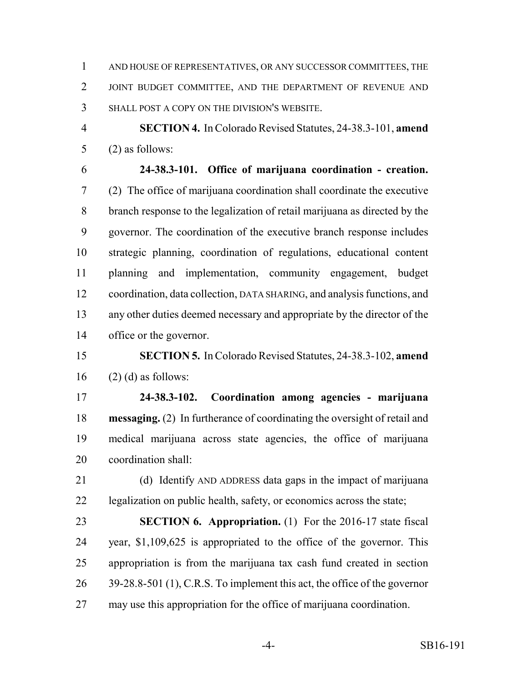AND HOUSE OF REPRESENTATIVES, OR ANY SUCCESSOR COMMITTEES, THE JOINT BUDGET COMMITTEE, AND THE DEPARTMENT OF REVENUE AND SHALL POST A COPY ON THE DIVISION'S WEBSITE.

 **SECTION 4.** In Colorado Revised Statutes, 24-38.3-101, **amend** (2) as follows:

 **24-38.3-101. Office of marijuana coordination - creation.** (2) The office of marijuana coordination shall coordinate the executive branch response to the legalization of retail marijuana as directed by the governor. The coordination of the executive branch response includes strategic planning, coordination of regulations, educational content planning and implementation, community engagement, budget coordination, data collection, DATA SHARING, and analysis functions, and any other duties deemed necessary and appropriate by the director of the

office or the governor.

# **SECTION 5.** In Colorado Revised Statutes, 24-38.3-102, **amend** (2) (d) as follows:

 **24-38.3-102. Coordination among agencies - marijuana messaging.** (2) In furtherance of coordinating the oversight of retail and medical marijuana across state agencies, the office of marijuana coordination shall:

 (d) Identify AND ADDRESS data gaps in the impact of marijuana legalization on public health, safety, or economics across the state;

 **SECTION 6. Appropriation.** (1) For the 2016-17 state fiscal year, \$1,109,625 is appropriated to the office of the governor. This appropriation is from the marijuana tax cash fund created in section 26 39-28.8-501 (1), C.R.S. To implement this act, the office of the governor may use this appropriation for the office of marijuana coordination.